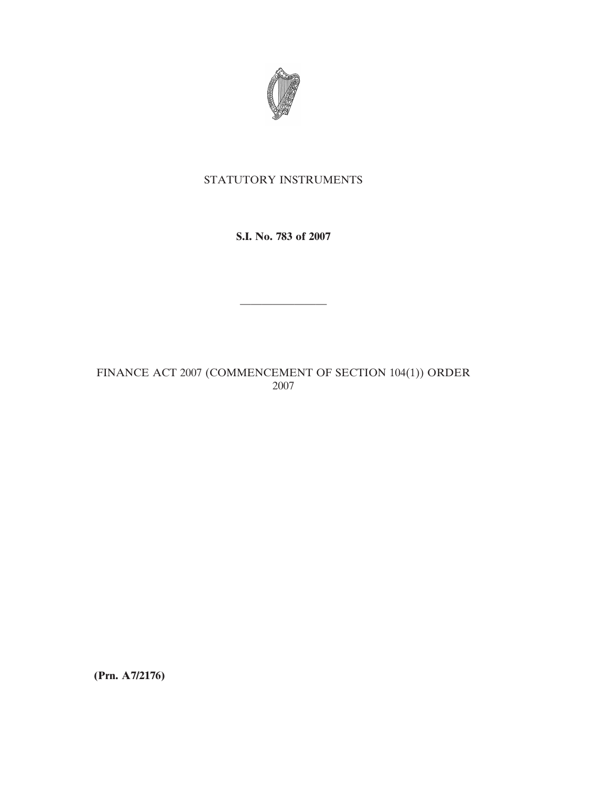

## STATUTORY INSTRUMENTS

**S.I. No. 783 of 2007**

————————

FINANCE ACT 2007 (COMMENCEMENT OF SECTION 104(1)) ORDER 2007

**(Prn. A7/2176)**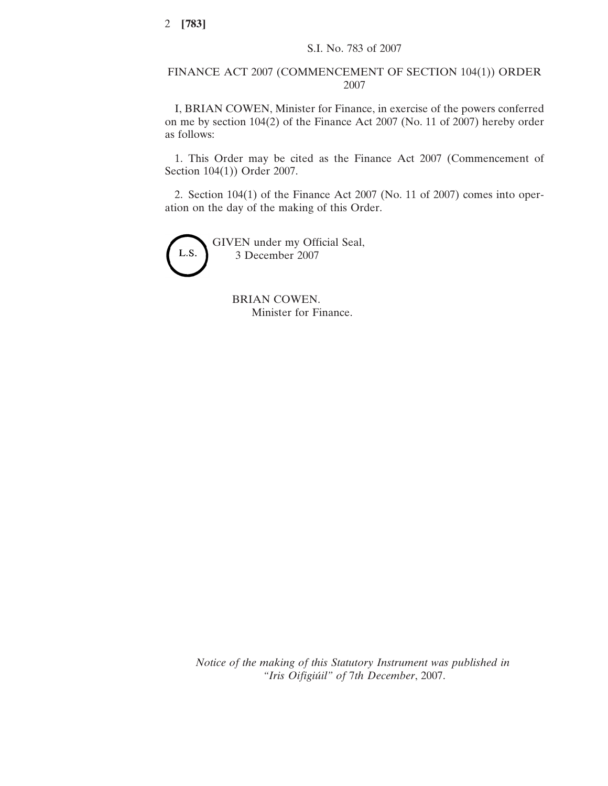## FINANCE ACT 2007 (COMMENCEMENT OF SECTION 104(1)) ORDER 2007

I, BRIAN COWEN, Minister for Finance, in exercise of the powers conferred on me by section 104(2) of the Finance Act 2007 (No. 11 of 2007) hereby order as follows:

1. This Order may be cited as the Finance Act 2007 (Commencement of Section 104(1)) Order 2007.

2. Section 104(1) of the Finance Act 2007 (No. 11 of 2007) comes into operation on the day of the making of this Order.



BRIAN COWEN. Minister for Finance.

*Notice of the making of this Statutory Instrument was published in "Iris Oifigiu´il" of* 7*th December*, 2007.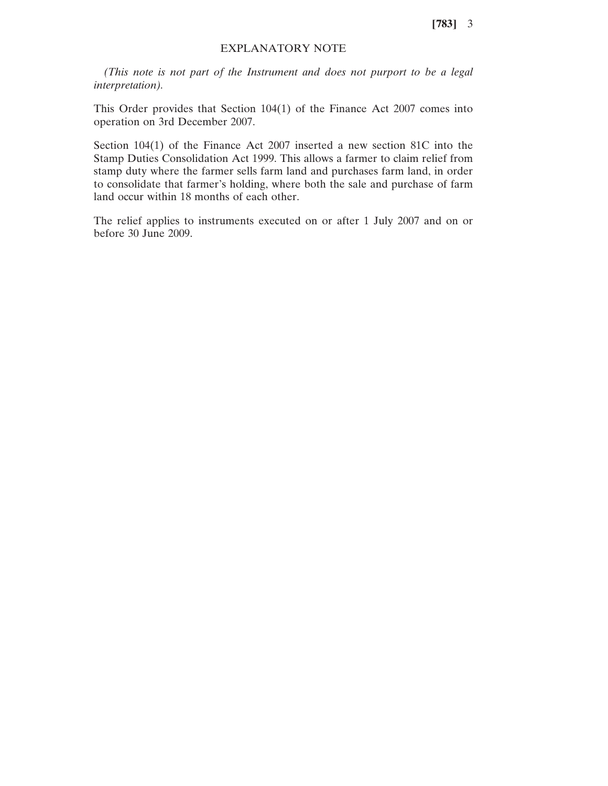**[783]** 3

## EXPLANATORY NOTE

*(This note is not part of the Instrument and does not purport to be a legal interpretation).*

This Order provides that Section 104(1) of the Finance Act 2007 comes into operation on 3rd December 2007.

Section 104(1) of the Finance Act 2007 inserted a new section 81C into the Stamp Duties Consolidation Act 1999. This allows a farmer to claim relief from stamp duty where the farmer sells farm land and purchases farm land, in order to consolidate that farmer's holding, where both the sale and purchase of farm land occur within 18 months of each other.

The relief applies to instruments executed on or after 1 July 2007 and on or before 30 June 2009.